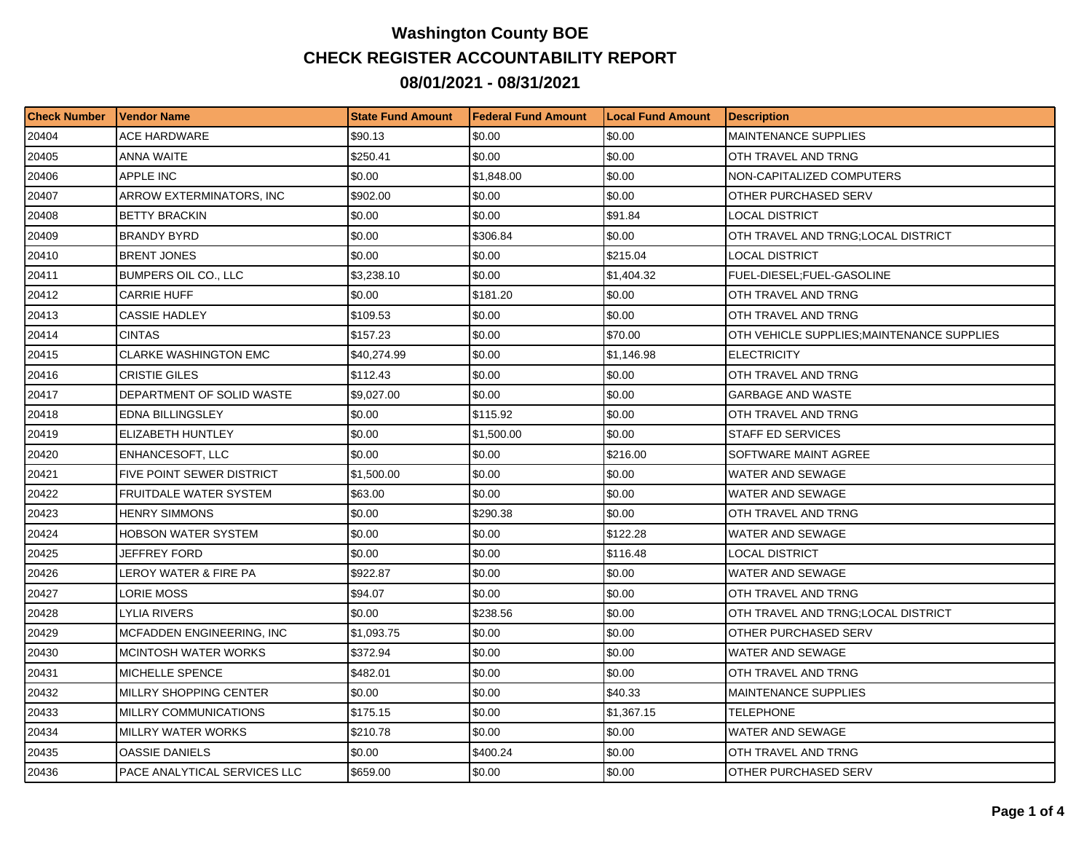## **Washington County BOE CHECK REGISTER ACCOUNTABILITY REPORT 08/01/2021 - 08/31/2021**

| <b>Check Number</b> | <b>Vendor Name</b>            | <b>State Fund Amount</b> | <b>IFederal Fund Amount</b> | <b>ILocal Fund Amount</b> | <b>Description</b>                         |
|---------------------|-------------------------------|--------------------------|-----------------------------|---------------------------|--------------------------------------------|
| 20404               | ACE HARDWARE                  | \$90.13                  | \$0.00                      | \$0.00                    | <b>MAINTENANCE SUPPLIES</b>                |
| 20405               | ANNA WAITE                    | \$250.41                 | \$0.00                      | \$0.00                    | OTH TRAVEL AND TRNG                        |
| 20406               | <b>APPLE INC</b>              | \$0.00                   | \$1,848.00                  | \$0.00                    | NON-CAPITALIZED COMPUTERS                  |
| 20407               | ARROW EXTERMINATORS, INC      | \$902.00                 | \$0.00                      | \$0.00                    | OTHER PURCHASED SERV                       |
| 20408               | <b>BETTY BRACKIN</b>          | \$0.00                   | \$0.00                      | \$91.84                   | LOCAL DISTRICT                             |
| 20409               | <b>BRANDY BYRD</b>            | \$0.00                   | \$306.84                    | \$0.00                    | OTH TRAVEL AND TRNG;LOCAL DISTRICT         |
| 20410               | <b>BRENT JONES</b>            | \$0.00                   | \$0.00                      | \$215.04                  | LOCAL DISTRICT                             |
| 20411               | BUMPERS OIL CO., LLC          | \$3,238.10               | \$0.00                      | \$1,404.32                | FUEL-DIESEL;FUEL-GASOLINE                  |
| 20412               | <b>CARRIE HUFF</b>            | \$0.00                   | \$181.20                    | \$0.00                    | OTH TRAVEL AND TRNG                        |
| 20413               | <b>CASSIE HADLEY</b>          | \$109.53                 | \$0.00                      | \$0.00                    | OTH TRAVEL AND TRNG                        |
| 20414               | CINTAS                        | \$157.23                 | \$0.00                      | \$70.00                   | OTH VEHICLE SUPPLIES; MAINTENANCE SUPPLIES |
| 20415               | CLARKE WASHINGTON EMC         | \$40,274.99              | \$0.00                      | \$1.146.98                | <b>ELECTRICITY</b>                         |
| 20416               | CRISTIE GILES                 | \$112.43                 | \$0.00                      | \$0.00                    | OTH TRAVEL AND TRNG                        |
| 20417               | DEPARTMENT OF SOLID WASTE     | \$9,027.00               | \$0.00                      | \$0.00                    | <b>GARBAGE AND WASTE</b>                   |
| 20418               | <b>EDNA BILLINGSLEY</b>       | \$0.00                   | \$115.92                    | \$0.00                    | OTH TRAVEL AND TRNG                        |
| 20419               | ELIZABETH HUNTLEY             | \$0.00                   | \$1,500.00                  | \$0.00                    | <b>STAFF ED SERVICES</b>                   |
| 20420               | ENHANCESOFT, LLC              | \$0.00                   | \$0.00                      | \$216.00                  | SOFTWARE MAINT AGREE                       |
| 20421               | FIVE POINT SEWER DISTRICT     | \$1,500.00               | \$0.00                      | \$0.00                    | WATER AND SEWAGE                           |
| 20422               | FRUITDALE WATER SYSTEM        | \$63.00                  | \$0.00                      | \$0.00                    | WATER AND SEWAGE                           |
| 20423               | <b>HENRY SIMMONS</b>          | \$0.00                   | \$290.38                    | \$0.00                    | OTH TRAVEL AND TRNG                        |
| 20424               | HOBSON WATER SYSTEM           | \$0.00                   | \$0.00                      | \$122.28                  | WATER AND SEWAGE                           |
| 20425               | JEFFREY FORD                  | \$0.00                   | \$0.00                      | \$116.48                  | LOCAL DISTRICT                             |
| 20426               | LEROY WATER & FIRE PA         | \$922.87                 | \$0.00                      | \$0.00                    | WATER AND SEWAGE                           |
| 20427               | LORIE MOSS                    | \$94.07                  | \$0.00                      | \$0.00                    | OTH TRAVEL AND TRNG                        |
| 20428               | LYLIA RIVERS                  | \$0.00                   | \$238.56                    | \$0.00                    | OTH TRAVEL AND TRNG;LOCAL DISTRICT         |
| 20429               | MCFADDEN ENGINEERING, INC     | \$1,093.75               | \$0.00                      | \$0.00                    | OTHER PURCHASED SERV                       |
| 20430               | MCINTOSH WATER WORKS          | \$372.94                 | \$0.00                      | \$0.00                    | WATER AND SEWAGE                           |
| 20431               | MICHELLE SPENCE               | \$482.01                 | \$0.00                      | \$0.00                    | OTH TRAVEL AND TRNG                        |
| 20432               | <b>MILLRY SHOPPING CENTER</b> | \$0.00                   | \$0.00                      | \$40.33                   | <b>MAINTENANCE SUPPLIES</b>                |
| 20433               | MILLRY COMMUNICATIONS         | \$175.15                 | \$0.00                      | \$1,367.15                | <b>TELEPHONE</b>                           |
| 20434               | <b>MILLRY WATER WORKS</b>     | \$210.78                 | \$0.00                      | \$0.00                    | WATER AND SEWAGE                           |
| 20435               | OASSIE DANIELS                | \$0.00                   | \$400.24                    | \$0.00                    | OTH TRAVEL AND TRNG                        |
| 20436               | PACE ANALYTICAL SERVICES LLC  | \$659.00                 | \$0.00                      | \$0.00                    | OTHER PURCHASED SERV                       |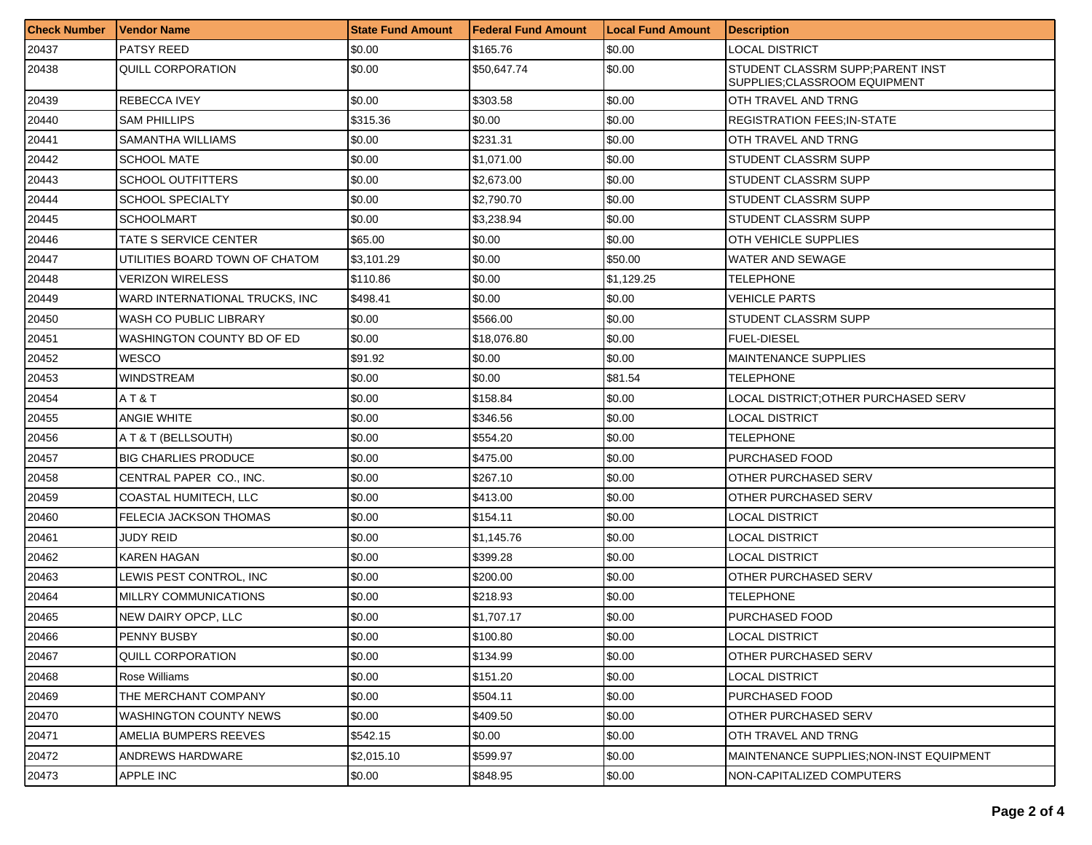| <b>Check Number</b> | <b>Vendor Name</b>              | <b>State Fund Amount</b> | Federal Fund Amount | <b>Local Fund Amount</b> | <b>Description</b>                                                 |
|---------------------|---------------------------------|--------------------------|---------------------|--------------------------|--------------------------------------------------------------------|
| 20437               | PATSY REED                      | \$0.00                   | \$165.76            | \$0.00                   | <b>LOCAL DISTRICT</b>                                              |
| 20438               | QUILL CORPORATION               | \$0.00                   | \$50.647.74         | \$0.00                   | STUDENT CLASSRM SUPP; PARENT INST<br>SUPPLIES; CLASSROOM EQUIPMENT |
| 20439               | <b>REBECCA IVEY</b>             | \$0.00                   | \$303.58            | \$0.00                   | OTH TRAVEL AND TRNG                                                |
| 20440               | <b>SAM PHILLIPS</b>             | \$315.36                 | \$0.00              | \$0.00                   | <b>REGISTRATION FEES: IN-STATE</b>                                 |
| 20441               | SAMANTHA WILLIAMS               | \$0.00                   | \$231.31            | \$0.00                   | OTH TRAVEL AND TRNG                                                |
| 20442               | <b>SCHOOL MATE</b>              | \$0.00                   | \$1.071.00          | \$0.00                   | STUDENT CLASSRM SUPP                                               |
| 20443               | <b>SCHOOL OUTFITTERS</b>        | \$0.00                   | \$2,673.00          | \$0.00                   | <b>STUDENT CLASSRM SUPP</b>                                        |
| 20444               | <b>SCHOOL SPECIALTY</b>         | \$0.00                   | \$2,790.70          | \$0.00                   | STUDENT CLASSRM SUPP                                               |
| 20445               | <b>SCHOOLMART</b>               | \$0.00                   | \$3,238.94          | \$0.00                   | STUDENT CLASSRM SUPP                                               |
| 20446               | TATE S SERVICE CENTER           | \$65.00                  | \$0.00              | \$0.00                   | <b>OTH VEHICLE SUPPLIES</b>                                        |
| 20447               | UTILITIES BOARD TOWN OF CHATOM  | \$3,101.29               | \$0.00              | \$50.00                  | WATER AND SEWAGE                                                   |
| 20448               | <b>VERIZON WIRELESS</b>         | \$110.86                 | \$0.00              | \$1,129.25               | TELEPHONE                                                          |
| 20449               | WARD INTERNATIONAL TRUCKS. INC. | \$498.41                 | \$0.00              | \$0.00                   | VEHICLE PARTS                                                      |
| 20450               | WASH CO PUBLIC LIBRARY          | \$0.00                   | \$566.00            | \$0.00                   | STUDENT CLASSRM SUPP                                               |
| 20451               | WASHINGTON COUNTY BD OF ED      | \$0.00                   | \$18,076.80         | \$0.00                   | <b>FUEL-DIESEL</b>                                                 |
| 20452               | <b>WESCO</b>                    | \$91.92                  | \$0.00              | \$0.00                   | <b>MAINTENANCE SUPPLIES</b>                                        |
| 20453               | WINDSTREAM                      | \$0.00                   | \$0.00              | \$81.54                  | TELEPHONE                                                          |
| 20454               | AT&T                            | \$0.00                   | \$158.84            | \$0.00                   | LOCAL DISTRICT: OTHER PURCHASED SERV                               |
| 20455               | <b>ANGIE WHITE</b>              | \$0.00                   | \$346.56            | \$0.00                   | LOCAL DISTRICT                                                     |
| 20456               | A T & T (BELLSOUTH)             | \$0.00                   | \$554.20            | \$0.00                   | <b>TELEPHONE</b>                                                   |
| 20457               | <b>BIG CHARLIES PRODUCE</b>     | \$0.00                   | \$475.00            | \$0.00                   | PURCHASED FOOD                                                     |
| 20458               | CENTRAL PAPER CO., INC.         | \$0.00                   | \$267.10            | \$0.00                   | OTHER PURCHASED SERV                                               |
| 20459               | COASTAL HUMITECH, LLC           | \$0.00                   | \$413.00            | \$0.00                   | OTHER PURCHASED SERV                                               |
| 20460               | FELECIA JACKSON THOMAS          | \$0.00                   | \$154.11            | \$0.00                   | <b>LOCAL DISTRICT</b>                                              |
| 20461               | <b>JUDY REID</b>                | \$0.00                   | \$1,145.76          | \$0.00                   | LOCAL DISTRICT                                                     |
| 20462               | <b>KAREN HAGAN</b>              | \$0.00                   | \$399.28            | \$0.00                   | LOCAL DISTRICT                                                     |
| 20463               | LEWIS PEST CONTROL, INC         | \$0.00                   | \$200.00            | \$0.00                   | OTHER PURCHASED SERV                                               |
| 20464               | MILLRY COMMUNICATIONS           | \$0.00                   | \$218.93            | \$0.00                   | <b>TELEPHONE</b>                                                   |
| 20465               | NEW DAIRY OPCP, LLC             | \$0.00                   | \$1,707.17          | \$0.00                   | PURCHASED FOOD                                                     |
| 20466               | PENNY BUSBY                     | \$0.00                   | \$100.80            | \$0.00                   | <b>LOCAL DISTRICT</b>                                              |
| 20467               | QUILL CORPORATION               | \$0.00                   | \$134.99            | \$0.00                   | OTHER PURCHASED SERV                                               |
| 20468               | Rose Williams                   | \$0.00                   | \$151.20            | \$0.00                   | <b>LOCAL DISTRICT</b>                                              |
| 20469               | THE MERCHANT COMPANY            | \$0.00                   | \$504.11            | \$0.00                   | PURCHASED FOOD                                                     |
| 20470               | <b>WASHINGTON COUNTY NEWS</b>   | \$0.00                   | \$409.50            | \$0.00                   | OTHER PURCHASED SERV                                               |
| 20471               | AMELIA BUMPERS REEVES           | \$542.15                 | \$0.00              | \$0.00                   | OTH TRAVEL AND TRNG                                                |
| 20472               | ANDREWS HARDWARE                | \$2,015.10               | \$599.97            | \$0.00                   | MAINTENANCE SUPPLIES: NON-INST EQUIPMENT                           |
| 20473               | APPLE INC                       | \$0.00                   | \$848.95            | \$0.00                   | NON-CAPITALIZED COMPUTERS                                          |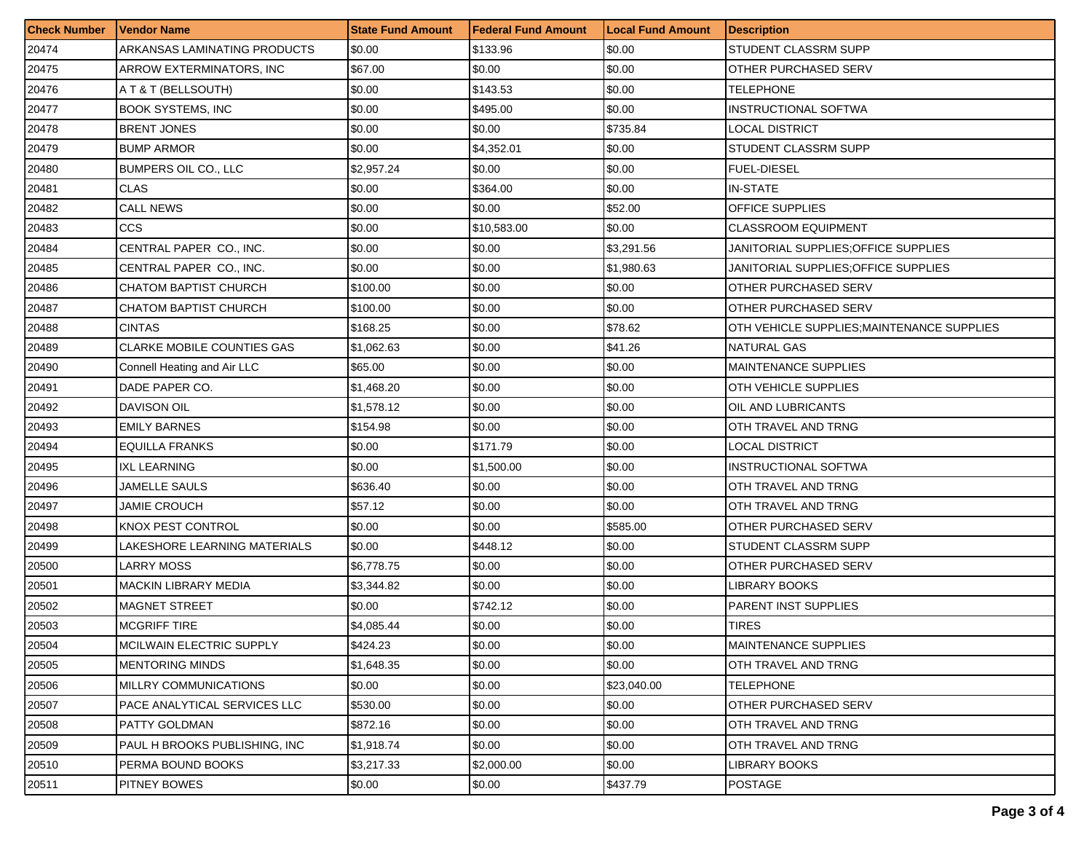| <b>Check Number</b> | Vendor Name                       | <b>State Fund Amount</b> | l Federal Fund Amount | <b>Local Fund Amount</b> | <b>Description</b>                         |
|---------------------|-----------------------------------|--------------------------|-----------------------|--------------------------|--------------------------------------------|
| 20474               | ARKANSAS LAMINATING PRODUCTS      | \$0.00                   | \$133.96              | \$0.00                   | STUDENT CLASSRM SUPP                       |
| 20475               | ARROW EXTERMINATORS. INC          | \$67.00                  | \$0.00                | \$0.00                   | OTHER PURCHASED SERV                       |
| 20476               | A T & T (BELLSOUTH)               | \$0.00                   | \$143.53              | \$0.00                   | TELEPHONE                                  |
| 20477               | <b>BOOK SYSTEMS, INC</b>          | \$0.00                   | \$495.00              | \$0.00                   | <b>INSTRUCTIONAL SOFTWA</b>                |
| 20478               | <b>BRENT JONES</b>                | \$0.00                   | \$0.00                | \$735.84                 | LOCAL DISTRICT                             |
| 20479               | <b>BUMP ARMOR</b>                 | \$0.00                   | \$4,352.01            | \$0.00                   | <b>STUDENT CLASSRM SUPP</b>                |
| 20480               | <b>BUMPERS OIL CO., LLC</b>       | \$2.957.24               | \$0.00                | \$0.00                   | FUEL-DIESEL                                |
| 20481               | <b>CLAS</b>                       | \$0.00                   | \$364.00              | \$0.00                   | IN-STATE                                   |
| 20482               | <b>CALL NEWS</b>                  | \$0.00                   | \$0.00                | \$52.00                  | <b>OFFICE SUPPLIES</b>                     |
| 20483               | CCS.                              | \$0.00                   | \$10,583.00           | \$0.00                   | <b>CLASSROOM EQUIPMENT</b>                 |
| 20484               | CENTRAL PAPER CO., INC.           | \$0.00                   | \$0.00                | \$3,291.56               | JANITORIAL SUPPLIES: OFFICE SUPPLIES       |
| 20485               | CENTRAL PAPER CO., INC.           | \$0.00                   | \$0.00                | \$1,980.63               | JANITORIAL SUPPLIES:OFFICE SUPPLIES        |
| 20486               | CHATOM BAPTIST CHURCH             | \$100.00                 | \$0.00                | \$0.00                   | OTHER PURCHASED SERV                       |
| 20487               | CHATOM BAPTIST CHURCH             | \$100.00                 | \$0.00                | \$0.00                   | <b>OTHER PURCHASED SERV</b>                |
| 20488               | CINTAS.                           | \$168.25                 | \$0.00                | \$78.62                  | OTH VEHICLE SUPPLIES; MAINTENANCE SUPPLIES |
| 20489               | <b>CLARKE MOBILE COUNTIES GAS</b> | \$1,062.63               | \$0.00                | \$41.26                  | <b>NATURAL GAS</b>                         |
| 20490               | Connell Heating and Air LLC       | \$65.00                  | \$0.00                | \$0.00                   | <b>MAINTENANCE SUPPLIES</b>                |
| 20491               | DADE PAPER CO.                    | \$1,468.20               | \$0.00                | \$0.00                   | OTH VEHICLE SUPPLIES                       |
| 20492               | <b>DAVISON OIL</b>                | \$1,578.12               | \$0.00                | \$0.00                   | OIL AND LUBRICANTS                         |
| 20493               | <b>EMILY BARNES</b>               | \$154.98                 | \$0.00                | \$0.00                   | OTH TRAVEL AND TRNG                        |
| 20494               | EQUILLA FRANKS                    | \$0.00                   | \$171.79              | \$0.00                   | LOCAL DISTRICT                             |
| 20495               | IXL LEARNING                      | \$0.00                   | \$1,500.00            | \$0.00                   | INSTRUCTIONAL SOFTWA                       |
| 20496               | JAMELLE SAULS                     | \$636.40                 | \$0.00                | \$0.00                   | OTH TRAVEL AND TRNG                        |
| 20497               | JAMIE CROUCH                      | \$57.12                  | \$0.00                | \$0.00                   | OTH TRAVEL AND TRNG                        |
| 20498               | KNOX PEST CONTROL                 | \$0.00                   | \$0.00                | \$585.00                 | OTHER PURCHASED SERV                       |
| 20499               | LAKESHORE LEARNING MATERIALS      | \$0.00                   | \$448.12              | \$0.00                   | STUDENT CLASSRM SUPP                       |
| 20500               | LARRY MOSS                        | \$6,778.75               | \$0.00                | \$0.00                   | OTHER PURCHASED SERV                       |
| 20501               | <b>MACKIN LIBRARY MEDIA</b>       | \$3,344.82               | \$0.00                | \$0.00                   | LIBRARY BOOKS                              |
| 20502               | <b>MAGNET STREET</b>              | \$0.00                   | \$742.12              | \$0.00                   | <b>PARENT INST SUPPLIES</b>                |
| 20503               | <b>MCGRIFF TIRE</b>               | \$4,085.44               | \$0.00                | \$0.00                   | TIRES                                      |
| 20504               | <b>MCILWAIN ELECTRIC SUPPLY</b>   | \$424.23                 | \$0.00                | \$0.00                   | MAINTENANCE SUPPLIES                       |
| 20505               | MENTORING MINDS                   | \$1,648.35               | \$0.00                | \$0.00                   | OTH TRAVEL AND TRNG                        |
| 20506               | MILLRY COMMUNICATIONS             | \$0.00                   | \$0.00                | \$23,040.00              | TELEPHONE                                  |
| 20507               | PACE ANALYTICAL SERVICES LLC      | \$530.00                 | \$0.00                | \$0.00                   | OTHER PURCHASED SERV                       |
| 20508               | PATTY GOLDMAN                     | \$872.16                 | \$0.00                | \$0.00                   | OTH TRAVEL AND TRNG                        |
| 20509               | PAUL H BROOKS PUBLISHING, INC.    | \$1,918.74               | \$0.00                | \$0.00                   | OTH TRAVEL AND TRNG                        |
| 20510               | PERMA BOUND BOOKS                 | \$3,217.33               | \$2,000.00            | \$0.00                   | <b>LIBRARY BOOKS</b>                       |
| 20511               | PITNEY BOWES                      | \$0.00                   | \$0.00                | \$437.79                 | <b>POSTAGE</b>                             |